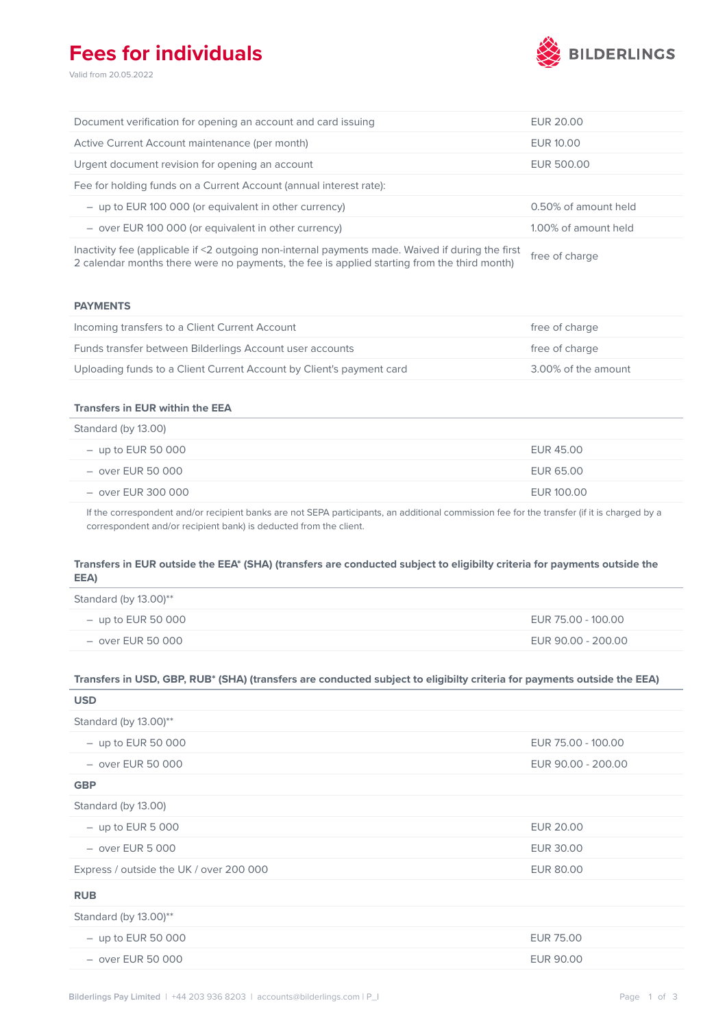## **Fees for individuals**

Valid from 20.05.2022



| Document verification for opening an account and card issuing                                    | EUR 20.00            |
|--------------------------------------------------------------------------------------------------|----------------------|
| Active Current Account maintenance (per month)                                                   | EUR 10.00            |
| Urgent document revision for opening an account                                                  | EUR 500.00           |
| Fee for holding funds on a Current Account (annual interest rate):                               |                      |
| $-$ up to EUR 100 000 (or equivalent in other currency)                                          | 0.50% of amount held |
| $-$ over EUR 100 000 (or equivalent in other currency)                                           | 1.00% of amount held |
| Inactivity fee (applicable if <2 outgoing non-internal payments made. Waived if during the first | $f_{max} = f_{max}$  |

2 calendar months there were no payments, the fee is applied starting from the third month) free of charge

### **PAYMENTS**

| Incoming transfers to a Client Current Account                       | free of charge      |
|----------------------------------------------------------------------|---------------------|
| Funds transfer between Bilderlings Account user accounts             | free of charge      |
| Uploading funds to a Client Current Account by Client's payment card | 3.00% of the amount |

### **Transfers in EUR within the EEA**

| Standard (by 13.00)  |            |
|----------------------|------------|
| $-$ up to EUR 50 000 | EUR 45.00  |
| $-$ over EUR 50 000  | EUR 65.00  |
| – over EUR 300 000   | EUR 100.00 |

If the correspondent and/or recipient banks are not SEPA participants, an additional commission fee for the transfer (if it is charged by a correspondent and/or recipient bank) is deducted from the client.

### **Transfers in EUR outside the EEA\* (SHA) (transfers are conducted subject to eligibilty criteria for payments outside the EEA)**

| Standard (by $13.00$ )** |                    |
|--------------------------|--------------------|
| $-$ up to EUR 50 000     | EUR 75.00 - 100.00 |
| – over EUR 50 000        | EUR 90.00 - 200.00 |

#### **Transfers in USD, GBP, RUB\* (SHA) (transfers are conducted subject to eligibilty criteria for payments outside the EEA)**

| <b>USD</b>                              |                    |
|-----------------------------------------|--------------------|
| Standard (by 13.00)**                   |                    |
| $-$ up to EUR 50 000                    | EUR 75.00 - 100.00 |
| $-$ over EUR 50 000                     | EUR 90.00 - 200.00 |
| <b>GBP</b>                              |                    |
| Standard (by 13.00)                     |                    |
| $-$ up to EUR 5 000                     | <b>EUR 20.00</b>   |
| $-$ over EUR 5 000                      | EUR 30.00          |
| Express / outside the UK / over 200 000 | EUR 80.00          |
| <b>RUB</b>                              |                    |
| Standard (by 13.00)**                   |                    |
| $-$ up to EUR 50 000                    | <b>EUR 75.00</b>   |
| $-$ over EUR 50 000                     | EUR 90.00          |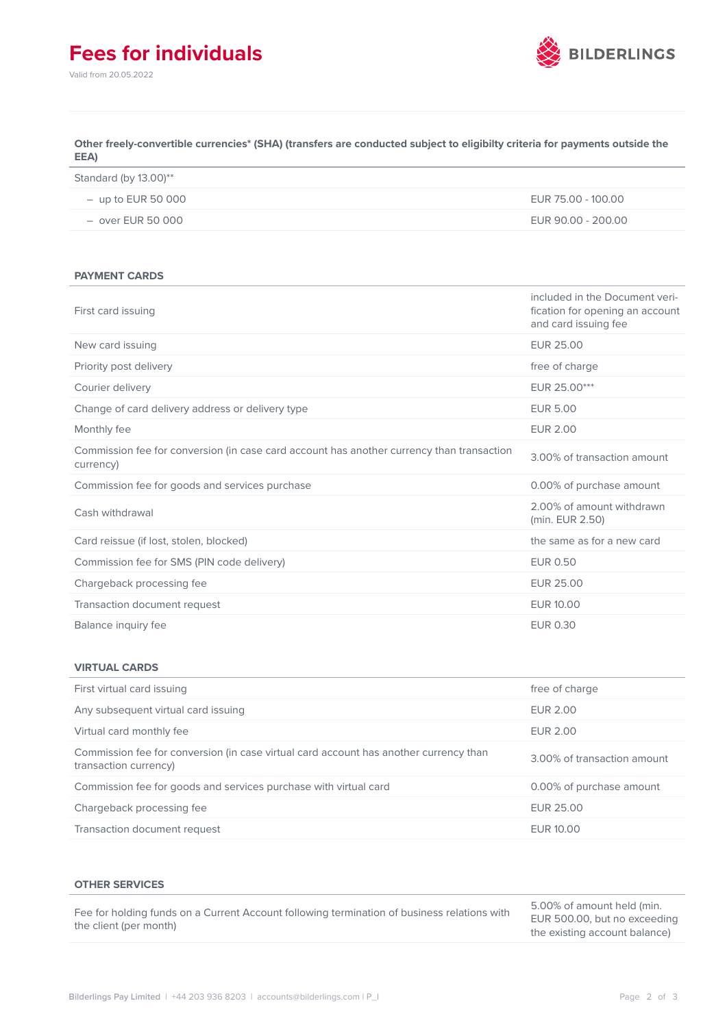# **Fees for individuals**

Valid from 20.05.2022



### **Other freely-convertible currencies\* (SHA) (transfers are conducted subject to eligibilty criteria for payments outside the EEA)**

| Standard (by 13.00)** |                    |
|-----------------------|--------------------|
| $-$ up to EUR 50 000  | EUR 75.00 - 100.00 |
| $-$ over EUR 50 000   | EUR 90.00 - 200.00 |

#### **PAYMENT CARDS**

| First card issuing                                                                                     | included in the Document veri-<br>fication for opening an account<br>and card issuing fee |
|--------------------------------------------------------------------------------------------------------|-------------------------------------------------------------------------------------------|
| New card issuing                                                                                       | <b>EUR 25.00</b>                                                                          |
| Priority post delivery                                                                                 | free of charge                                                                            |
| Courier delivery                                                                                       | EUR 25.00***                                                                              |
| Change of card delivery address or delivery type                                                       | <b>EUR 5.00</b>                                                                           |
| Monthly fee                                                                                            | <b>EUR 2.00</b>                                                                           |
| Commission fee for conversion (in case card account has another currency than transaction<br>currency) | 3.00% of transaction amount                                                               |
| Commission fee for goods and services purchase                                                         | 0.00% of purchase amount                                                                  |
| Cash withdrawal                                                                                        | 2.00% of amount withdrawn<br>(min. EUR 2.50)                                              |
| Card reissue (if lost, stolen, blocked)                                                                | the same as for a new card                                                                |
| Commission fee for SMS (PIN code delivery)                                                             | <b>EUR 0.50</b>                                                                           |
| Chargeback processing fee                                                                              | <b>EUR 25.00</b>                                                                          |
| Transaction document request                                                                           | <b>EUR 10.00</b>                                                                          |
| Balance inquiry fee                                                                                    | <b>EUR 0.30</b>                                                                           |

#### **VIRTUAL CARDS**

| First virtual card issuing                                                                                     | free of charge              |
|----------------------------------------------------------------------------------------------------------------|-----------------------------|
| Any subsequent virtual card issuing                                                                            | <b>EUR 2.00</b>             |
| Virtual card monthly fee                                                                                       | <b>EUR 2.00</b>             |
| Commission fee for conversion (in case virtual card account has another currency than<br>transaction currency) | 3.00% of transaction amount |
| Commission fee for goods and services purchase with virtual card                                               | 0.00% of purchase amount    |
| Chargeback processing fee                                                                                      | FUR 25.00                   |
| Transaction document request                                                                                   | EUR 10.00                   |

#### **OTHER SERVICES**

Fee for holding funds on a Current Account following termination of business relations with the client (per month)

5.00% of amount held (min. EUR 500.00, but no exceeding the existing account balance)